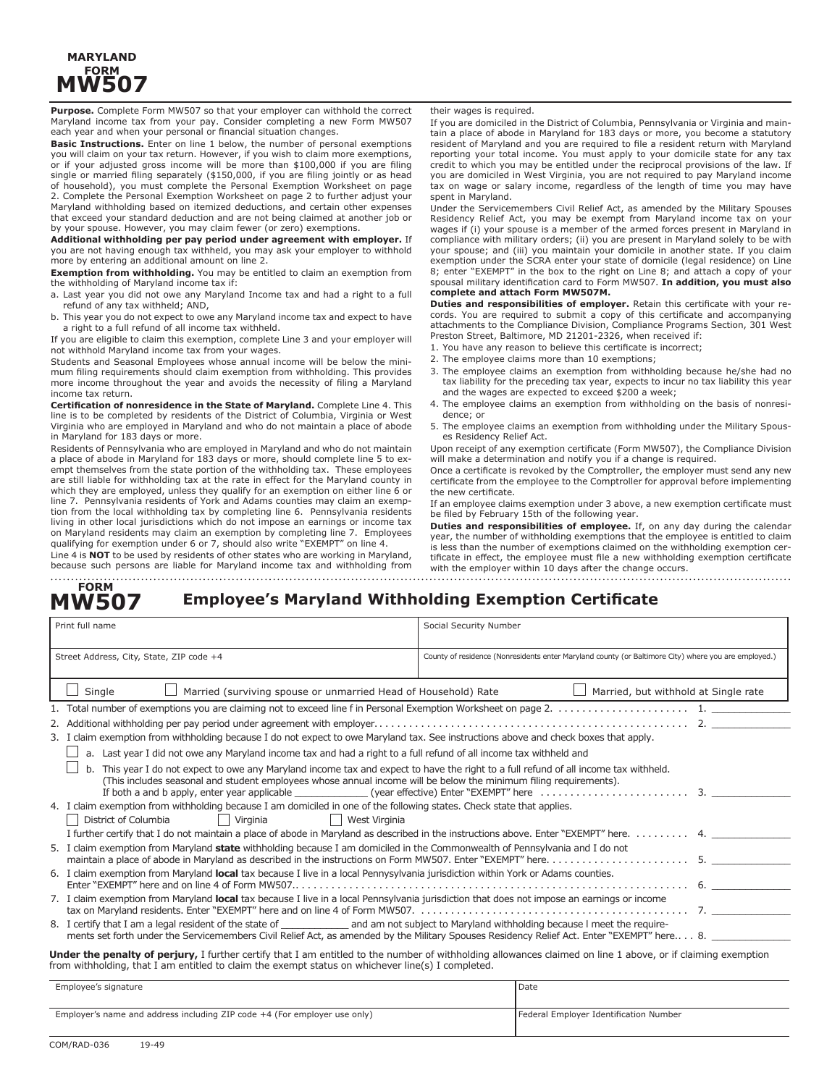### **MARYLAND FORM MW507**

**Purpose.** Complete Form MW507 so that your employer can withhold the correct Maryland income tax from your pay. Consider completing a new Form MW507 each year and when your personal or financial situation changes.

**Basic Instructions.** Enter on line 1 below, the number of personal exemptions you will claim on your tax return. However, if you wish to claim more exemptions, or if your adjusted gross income will be more than \$100,000 if you are filing single or married filing separately (\$150,000, if you are filing jointly or as head of household), you must complete the Personal Exemption Worksheet on page 2. Complete the Personal Exemption Worksheet on page 2 to further adjust your Maryland withholding based on itemized deductions, and certain other expenses that exceed your standard deduction and are not being claimed at another job or by your spouse. However, you may claim fewer (or zero) exemptions.

**Additional withholding per pay period under agreement with employer.** If you are not having enough tax withheld, you may ask your employer to withhold more by entering an additional amount on line 2.

**Exemption from withholding.** You may be entitled to claim an exemption from the withholding of Maryland income tax if:

a. Last year you did not owe any Maryland Income tax and had a right to a full refund of any tax withheld; AND,

b. This year you do not expect to owe any Maryland income tax and expect to have a right to a full refund of all income tax withheld.

If you are eligible to claim this exemption, complete Line 3 and your employer will not withhold Maryland income tax from your wages.

Students and Seasonal Employees whose annual income will be below the minimum filing requirements should claim exemption from withholding. This provides more income throughout the year and avoids the necessity of filing a Maryland income tax return.

**Certification of nonresidence in the State of Maryland.** Complete Line 4. This line is to be completed by residents of the District of Columbia, Virginia or West Virginia who are employed in Maryland and who do not maintain a place of abode in Maryland for 183 days or more.

Residents of Pennsylvania who are employed in Maryland and who do not maintain a place of abode in Maryland for 183 days or more, should complete line 5 to exempt themselves from the state portion of the withholding tax. These employees are still liable for withholding tax at the rate in effect for the Maryland county in which they are employed, unless they qualify for an exemption on either line 6 or line 7. Pennsylvania residents of York and Adams counties may claim an exemption from the local withholding tax by completing line 6. Pennsylvania residents living in other local jurisdictions which do not impose an earnings or income tax on Maryland residents may claim an exemption by completing line 7. Employees qualifying for exemption under 6 or 7, should also write "EXEMPT" on line 4. Line 4 is **NOT** to be used by residents of other states who are working in Maryland,

because such persons are liable for Maryland income tax and withholding from

their wages is required.

If you are domiciled in the District of Columbia, Pennsylvania or Virginia and maintain a place of abode in Maryland for 183 days or more, you become a statutory resident of Maryland and you are required to file a resident return with Maryland reporting your total income. You must apply to your domicile state for any tax credit to which you may be entitled under the reciprocal provisions of the law. If you are domiciled in West Virginia, you are not required to pay Maryland income tax on wage or salary income, regardless of the length of time you may have spent in Maryland.

Under the Servicemembers Civil Relief Act, as amended by the Military Spouses Residency Relief Act, you may be exempt from Maryland income tax on your wages if (i) your spouse is a member of the armed forces present in Maryland in compliance with military orders; (ii) you are present in Maryland solely to be with your spouse; and (iii) you maintain your domicile in another state. If you claim exemption under the SCRA enter your state of domicile (legal residence) on Line 8; enter "EXEMPT" in the box to the right on Line 8; and attach a copy of your spousal military identification card to Form MW507. **In addition, you must also complete and attach Form MW507M.**

**Duties and responsibilities of employer.** Retain this certificate with your records. You are required to submit a copy of this certificate and accompanying attachments to the Compliance Division, Compliance Programs Section, 301 West Preston Street, Baltimore, MD 21201-2326, when received if:

- 1. You have any reason to believe this certificate is incorrect;
- 2. The employee claims more than 10 exemptions;
- 3. The employee claims an exemption from withholding because he/she had no tax liability for the preceding tax year, expects to incur no tax liability this year and the wages are expected to exceed \$200 a week;
- 4. The employee claims an exemption from withholding on the basis of nonresidence; or
- 5. The employee claims an exemption from withholding under the Military Spouses Residency Relief Act.

Upon receipt of any exemption certificate (Form MW507), the Compliance Division will make a determination and notify you if a change is required.

Once a certificate is revoked by the Comptroller, the employer must send any new certificate from the employee to the Comptroller for approval before implementing the new certificate.

If an employee claims exemption under 3 above, a new exemption certificate must be filed by February 15th of the following year.

**Duties and responsibilities of employee.** If, on any day during the calendar year, the number of withholding exemptions that the employee is entitled to claim is less than the number of exemptions claimed on the withholding exemption certificate in effect, the employee must file a new withholding exemption certificate with the employer within 10 days after the change occurs.

#### **Employee's Maryland Withholding Exemption Certificate FORM MW507**

| Print full name                                                                                                                                                                                                                                                   | Social Security Number                                                                                                                         |  |  |  |  |
|-------------------------------------------------------------------------------------------------------------------------------------------------------------------------------------------------------------------------------------------------------------------|------------------------------------------------------------------------------------------------------------------------------------------------|--|--|--|--|
| Street Address, City, State, ZIP code +4                                                                                                                                                                                                                          | County of residence (Nonresidents enter Maryland county (or Baltimore City) where you are employed.)                                           |  |  |  |  |
| Single<br>Married (surviving spouse or unmarried Head of Household) Rate<br>Married, but withhold at Single rate                                                                                                                                                  |                                                                                                                                                |  |  |  |  |
|                                                                                                                                                                                                                                                                   |                                                                                                                                                |  |  |  |  |
|                                                                                                                                                                                                                                                                   |                                                                                                                                                |  |  |  |  |
| 3. I claim exemption from withholding because I do not expect to owe Maryland tax. See instructions above and check boxes that apply.                                                                                                                             |                                                                                                                                                |  |  |  |  |
| a. Last year I did not owe any Maryland income tax and had a right to a full refund of all income tax withheld and                                                                                                                                                |                                                                                                                                                |  |  |  |  |
| b. This year I do not expect to owe any Maryland income tax and expect to have the right to a full refund of all income tax withheld.<br>(This includes seasonal and student employees whose annual income will be below the minimum filing requirements).        |                                                                                                                                                |  |  |  |  |
| 4. I claim exemption from withholding because I am domiciled in one of the following states. Check state that applies.<br>  District of Columbia<br>    Virginia<br>    West Virginia                                                                             |                                                                                                                                                |  |  |  |  |
|                                                                                                                                                                                                                                                                   | I further certify that I do not maintain a place of abode in Maryland as described in the instructions above. Enter "EXEMPT" here. 4. ________ |  |  |  |  |
| 5. I claim exemption from Maryland state withholding because I am domiciled in the Commonwealth of Pennsylvania and I do not                                                                                                                                      |                                                                                                                                                |  |  |  |  |
| 6. I claim exemption from Maryland local tax because I live in a local Pennysylvania jurisdiction within York or Adams counties.                                                                                                                                  |                                                                                                                                                |  |  |  |  |
| 7. I claim exemption from Maryland local tax because I live in a local Pennsylvania jurisdiction that does not impose an earnings or income                                                                                                                       |                                                                                                                                                |  |  |  |  |
| 8. I certify that I am a legal resident of the state of _________________________ and am not subject to Maryland withholding because I meet the require-                                                                                                          | ments set forth under the Servicemembers Civil Relief Act, as amended by the Military Spouses Residency Relief Act. Enter "EXEMPT" here 8.     |  |  |  |  |
| Under the penalty of perjury, I further certify that I am entitled to the number of withholding allowances claimed on line 1 above, or if claiming exemption<br>from withholding, that I am entitled to claim the exempt status on whichever line(s) I completed. |                                                                                                                                                |  |  |  |  |

Employee's signature Date Date of the Date of the Date of the Date of the Date of the Date of the Date of the Date of the Date of the Date of the Date of the Date of the Date of the Date of the Date of the Date of the Date Employer's name and address including ZIP code +4 (For employer use only) Federal Employer Identification Number